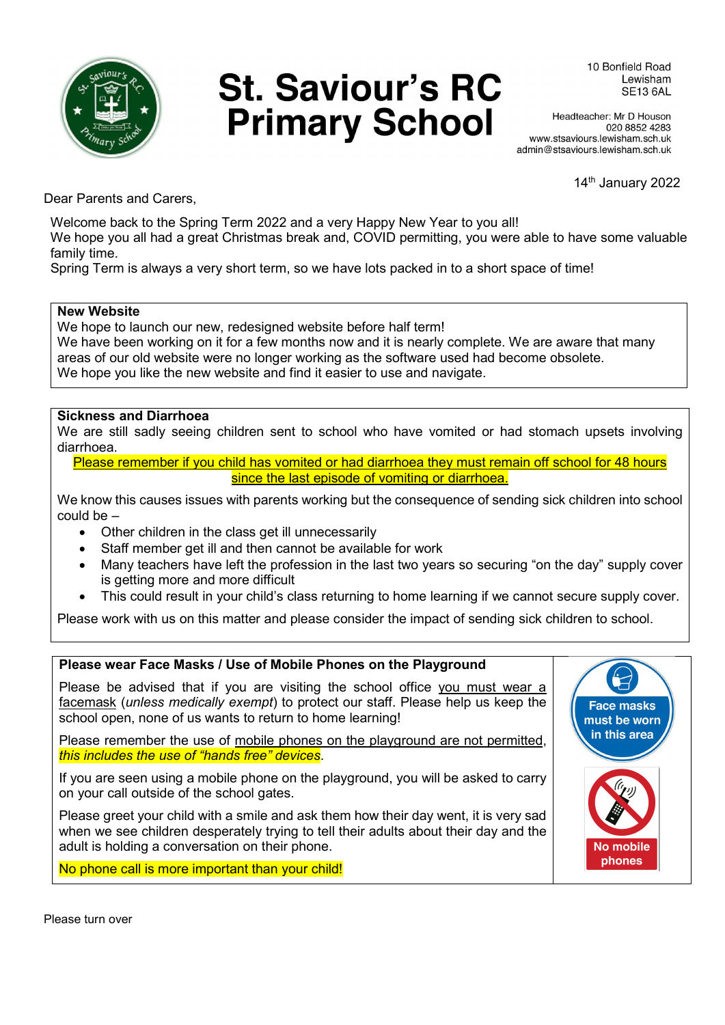

# **St. Saviour's RC Primary School**

10 Bonfield Boad Lewisham **SE13 6AL** 

Headteacher: Mr D Houson 020 8852 4283 www.stsaviours.lewisham.sch.uk admin@stsaviours.lewisham.sch.uk

14<sup>th</sup> January 2022

Dear Parents and Carers,

Welcome back to the Spring Term 2022 and a very Happy New Year to you all!

We hope you all had a great Christmas break and, COVID permitting, you were able to have some valuable family time.

Spring Term is always a very short term, so we have lots packed in to a short space of time!

#### New Website

We hope to launch our new, redesigned website before half term!

We have been working on it for a few months now and it is nearly complete. We are aware that many areas of our old website were no longer working as the software used had become obsolete. We hope you like the new website and find it easier to use and navigate.

#### Sickness and Diarrhoea

We are still sadly seeing children sent to school who have vomited or had stomach upsets involving diarrhoea.

Please remember if you child has vomited or had diarrhoea they must remain off school for 48 hours since the last episode of vomiting or diarrhoea.

We know this causes issues with parents working but the consequence of sending sick children into school could be –

- Other children in the class get ill unnecessarily
- Staff member get ill and then cannot be available for work
- Many teachers have left the profession in the last two years so securing "on the day" supply cover is getting more and more difficult
- This could result in your child's class returning to home learning if we cannot secure supply cover.

Please work with us on this matter and please consider the impact of sending sick children to school.

#### Please wear Face Masks / Use of Mobile Phones on the Playground

Please be advised that if you are visiting the school office you must wear a facemask (unless medically exempt) to protect our staff. Please help us keep the school open, none of us wants to return to home learning!

Please remember the use of mobile phones on the playground are not permitted, this includes the use of "hands free" devices.

If you are seen using a mobile phone on the playground, you will be asked to carry on your call outside of the school gates.

Please greet your child with a smile and ask them how their day went, it is very sad when we see children desperately trying to tell their adults about their day and the adult is holding a conversation on their phone.

No phone call is more important than your child!

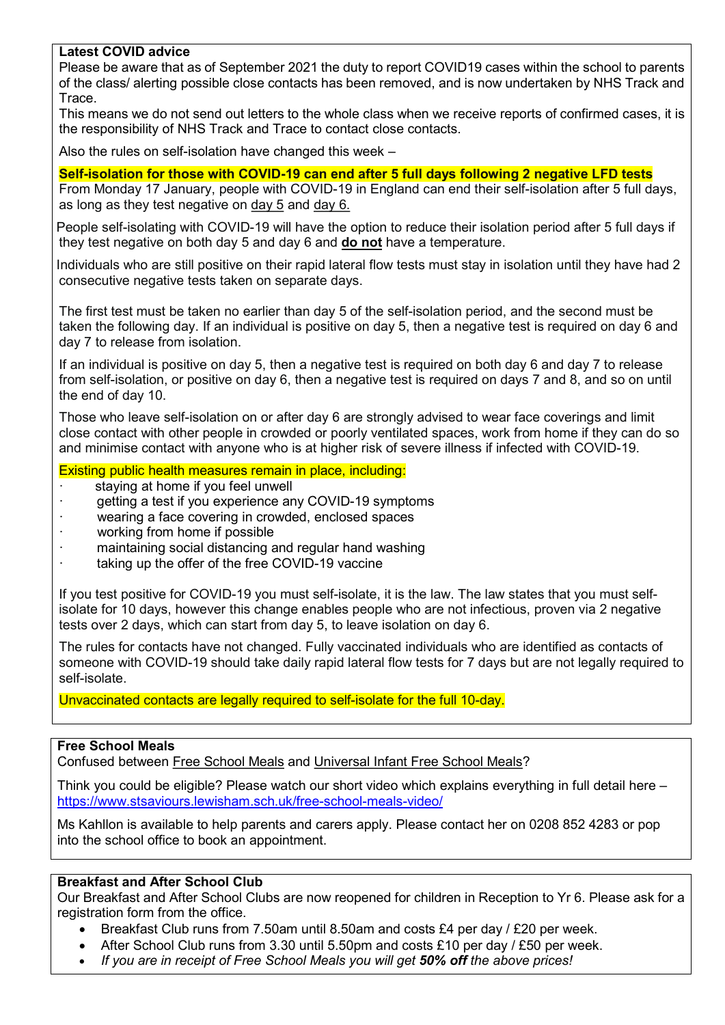#### Latest COVID advice

Please be aware that as of September 2021 the duty to report COVID19 cases within the school to parents of the class/ alerting possible close contacts has been removed, and is now undertaken by NHS Track and **Trace** 

This means we do not send out letters to the whole class when we receive reports of confirmed cases, it is the responsibility of NHS Track and Trace to contact close contacts.

Also the rules on self-isolation have changed this week –

#### Self-isolation for those with COVID-19 can end after 5 full days following 2 negative LFD tests

From Monday 17 January, people with COVID-19 in England can end their self-isolation after 5 full days, as long as they test negative on day 5 and day 6.

 People self-isolating with COVID-19 will have the option to reduce their isolation period after 5 full days if they test negative on both day 5 and day 6 and **do not** have a temperature.

 Individuals who are still positive on their rapid lateral flow tests must stay in isolation until they have had 2 consecutive negative tests taken on separate days.

The first test must be taken no earlier than day 5 of the self-isolation period, and the second must be taken the following day. If an individual is positive on day 5, then a negative test is required on day 6 and day 7 to release from isolation.

If an individual is positive on day 5, then a negative test is required on both day 6 and day 7 to release from self-isolation, or positive on day 6, then a negative test is required on days 7 and 8, and so on until the end of day 10.

Those who leave self-isolation on or after day 6 are strongly advised to wear face coverings and limit close contact with other people in crowded or poorly ventilated spaces, work from home if they can do so and minimise contact with anyone who is at higher risk of severe illness if infected with COVID-19.

#### Existing public health measures remain in place, including:

- staying at home if you feel unwell
- getting a test if you experience any COVID-19 symptoms
- wearing a face covering in crowded, enclosed spaces
- working from home if possible
- maintaining social distancing and regular hand washing
- taking up the offer of the free COVID-19 vaccine

If you test positive for COVID-19 you must self-isolate, it is the law. The law states that you must selfisolate for 10 days, however this change enables people who are not infectious, proven via 2 negative tests over 2 days, which can start from day 5, to leave isolation on day 6.

The rules for contacts have not changed. Fully vaccinated individuals who are identified as contacts of someone with COVID-19 should take daily rapid lateral flow tests for 7 days but are not legally required to self-isolate.

Unvaccinated contacts are legally required to self-isolate for the full 10-day.

#### Free School Meals

Confused between Free School Meals and Universal Infant Free School Meals?

Think you could be eligible? Please watch our short video which explains everything in full detail here – https://www.stsaviours.lewisham.sch.uk/free-school-meals-video/

Ms Kahllon is available to help parents and carers apply. Please contact her on 0208 852 4283 or pop into the school office to book an appointment.

#### Breakfast and After School Club

Our Breakfast and After School Clubs are now reopened for children in Reception to Yr 6. Please ask for a registration form from the office.

- Breakfast Club runs from 7.50am until 8.50am and costs £4 per day / £20 per week.
- After School Club runs from 3.30 until 5.50pm and costs £10 per day / £50 per week.
- If you are in receipt of Free School Meals you will get 50% off the above prices!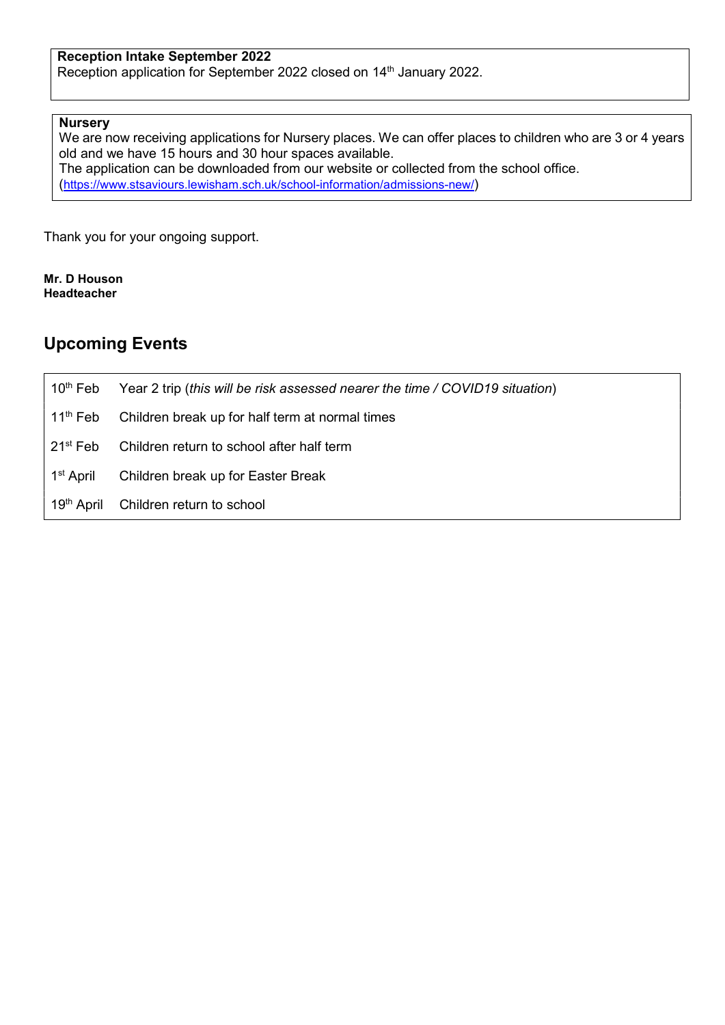#### Reception Intake September 2022

Reception application for September 2022 closed on 14<sup>th</sup> January 2022.

#### **Nurserv**

We are now receiving applications for Nursery places. We can offer places to children who are 3 or 4 years old and we have 15 hours and 30 hour spaces available. The application can be downloaded from our website or collected from the school office. (https://www.stsaviours.lewisham.sch.uk/school-information/admissions-new/)

Thank you for your ongoing support.

Mr. D Houson Headteacher

### Upcoming Events

10<sup>th</sup> Feb Year 2 trip (this will be risk assessed nearer the time / COVID19 situation) 11<sup>th</sup> Feb Children break up for half term at normal times 21<sup>st</sup> Feb Children return to school after half term 1<sup>st</sup> April Children break up for Easter Break 19<sup>th</sup> April Children return to school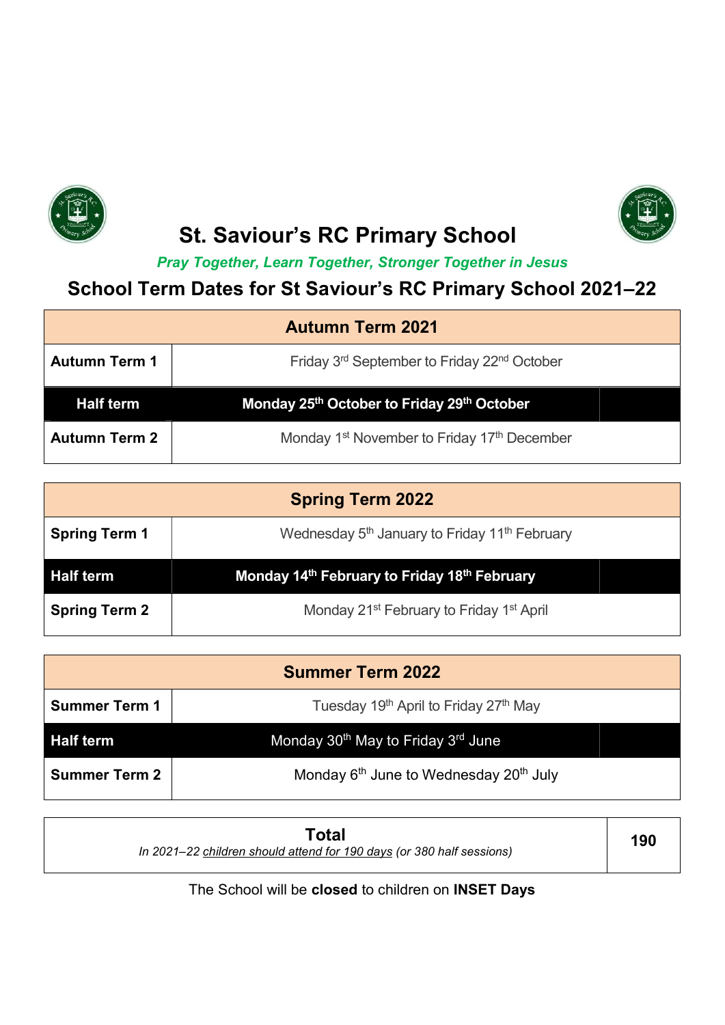



# St. Saviour's RC Primary School

Pray Together, Learn Together, Stronger Together in Jesus

## School Term Dates for St Saviour's RC Primary School 2021–22

| <b>Autumn Term 2021</b> |                                                                     |  |
|-------------------------|---------------------------------------------------------------------|--|
| <b>Autumn Term 1</b>    | Friday 3 <sup>rd</sup> September to Friday 22 <sup>nd</sup> October |  |
| <b>Half term</b>        | Monday 25th October to Friday 29th October                          |  |
| <b>Autumn Term 2</b>    | Monday 1 <sup>st</sup> November to Friday 17 <sup>th</sup> December |  |

| <b>Spring Term 2022</b> |                                                                       |  |
|-------------------------|-----------------------------------------------------------------------|--|
| <b>Spring Term 1</b>    | Wednesday 5 <sup>th</sup> January to Friday 11 <sup>th</sup> February |  |
| <b>Half term</b>        | Monday 14 <sup>th</sup> February to Friday 18 <sup>th</sup> February  |  |
| <b>Spring Term 2</b>    | Monday 21 <sup>st</sup> February to Friday 1 <sup>st</sup> April      |  |

| <b>Summer Term 2022</b> |                                                                |  |
|-------------------------|----------------------------------------------------------------|--|
| <b>Summer Term 1</b>    | Tuesday 19 <sup>th</sup> April to Friday 27 <sup>th</sup> May  |  |
| <b>Half term</b>        | Monday 30 <sup>th</sup> May to Friday 3 <sup>rd</sup> June     |  |
| <b>Summer Term 2</b>    | Monday 6 <sup>th</sup> June to Wednesday 20 <sup>th</sup> July |  |

| Total<br>In 2021–22 children should attend for 190 days (or 380 half sessions) | 190 |
|--------------------------------------------------------------------------------|-----|
|--------------------------------------------------------------------------------|-----|

The School will be closed to children on INSET Days